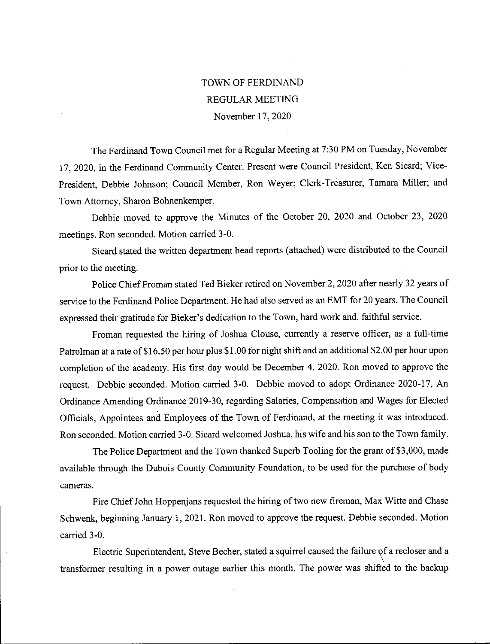## TOWN OF FERDINAND REGULAR MEETING November 17, 2020

The Ferdinand Town Council met for a Regular Meeting at 7:30 PM on Tuesday, November 17, 2020, in the Ferdinand Community Center. Present were Council President, Ken Sicard; Vice-President, Debbie Johnson; Council Member, Ron Weyer; Clerk-Treasurer, Tamara Miller; and Town Attorney, Sharon Bohnenkemper.

Debbie moved to approve the Minutes of the October 20, 2020 and October 23, 2020 meetings. Ron seconded. Motion carried 3-0.

Sicard stated the written department head reports (attached) were distributed to the Council prior to the meeting.

Police Chief Froman stated Ted Bieker retired on November 2, 2020 after nearly 32 years of service to the Ferdinand Police Department. He had also served as an EMT for 20 years. The Council expressed their gratitude for Bieker's dedication to the Town, hard work and. faithful service.

Froman requested the hiring of Joshua Clouse, currently a reserve officer, as a full-time Patrolman at a rate of \$16.50 per hour plus \$1.00 for night shift and an additional \$2.00 per hour upon completion of the academy. His first day would be December 4, 2020. Ron moved to approve the request. Debbie seconded. Motion carried 3-0. Debbie moved to adopt Ordinance 2020-17, An Ordinance Amending Ordinance 2019-30, regazding Salaries, Compensation and Wages for Elected Officials, Appointees and Employees of the Town of Ferdinand, at the meeting it was introduced. Ron seconded. Motion carried 3-0. Sicard welcomed Joshua, his wife and his son to the Town family.

The Police Department and the Town thanked Superb Tooling for the grant of \$3,000, made available through the Dubois County Community Foundation, to be used for the purchase of body cameras.

Fire Chief John Hoppenjans requested the hiring of two new fireman, Max Witte and Chase Schwenk, beginning January 1, 2021. Ron moved to approve the request. Debbie seconded. Motion carried 3-0.

Electric Superintendent, Steve Becher, stated a squirrel caused the failure pf a recloser and a transformer resulting in a power outage earlier this month. The power was shifted to the backup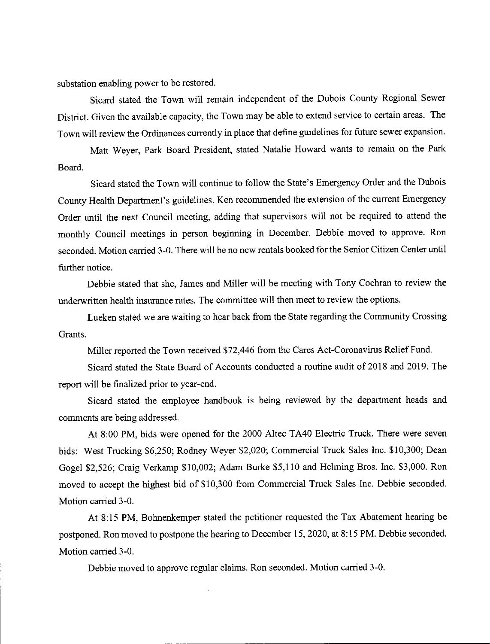substation enabling power to be restored.

Sicazd stated the Town will remain independent of the Dubois County Regional Sewer District. Given the available capacity, the Town maybe able to extend service to certain areas. The Town will review the Ordinances currently in place that define guidelines for future sewer expansion.

Matt Weyer, Park Board President, stated Natalie Howard wants to remain on the Park Board.

Sicazd stated the Town will continue to follow the State's Emergency Order and the Dubois County Health Department's guidelines. Ken recommended the extension of the current Emergency Order until the next Council meeting, adding that supervisors will not be required to attend the monthly Council meetings in person beginning in December. Debbie moved to approve. Ron seconded. Motion carried 3-0. There will be no new rentals booked for the Senior Citizen Center until further notice.

Debbie stated that she, James and Miller will be meeting with Tony Cochran to review the underwritten health insurance rates. The committee will then meet to review the options.

Lueken stated we are waiting to hear back from the State regarding the Community Crossing Grants.

Miller reported the Town received \$72,446 from the Cares Act-Coronavirus Relief Fund.

Sicard stated the State Boazd of Accounts conducted a routine audit of 2018 and 2019. The report will be finalized prior to year-end.

Sicard stated the employee handbook is being reviewed by the department heads and comments are being addressed.

At 8:00 PM, bids were opened for the 2000 Altec TA40 Electric Truck. There were seven bids: West Trucking \$6,250; Rodney Weyer \$2,020; Commercial Truck Sales Inc. \$10,300; Dean Gogel \$2,526; Craig Verkamp \$10,002; Adam Burke \$5,110 and Helming Bros. Inc. \$3,000. Ron moved to accept the highest bid of \$10,300 from Commercial Truck Sales Inc. Debbie seconded. Motion carried 3-0.

At 8:15 PM, Bohnenkemper stated the petitioner requested the Tax Abatement hearing be postponed. Ron moved to postpone the hearing to December 15, 2020, at 8:15 PM. Debbie seconded. Motion carried 3-0.

Debbie moved to approve regular claims. Ron seconded. Motion carried 3-0.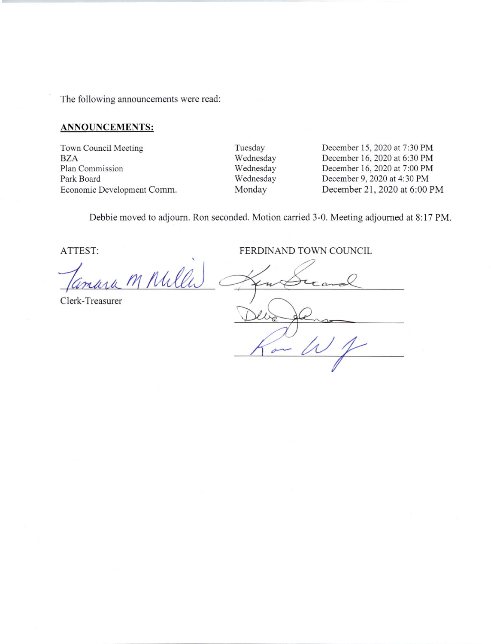The following announcements were read:

#### ANNOUNCEMENTS:

Town Council Meeting BZA Plan Commission Park Board Economic Development Comm. Tuesday Wednesday Wednesday Wednesday Monday

December 15, 2020 at 7:30 PM December 16, 2020 at 6:30 PM December 16, 2020 at 7:00 PM December 9, 2020 at 4:30 PM December 21, 2020 at 6:00 PM

Debbie moved to adjourn. Ron seconded. Motion carried 3-0. Meeting adjourned at 8:17 PM.

ATTEST:

ua M Mille

Clerk-Treasurer

FERDINAND TOWN COUNCIL

 $\overline{\mathscr{P}}$ o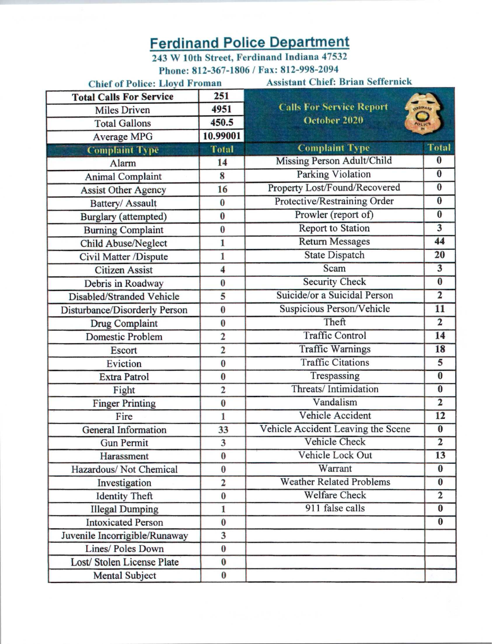# Ferdinand Police Department

243 W 10th Street, Ferdinand Indiana 47532 Phone: 812-367-1806 /Fax: 812-998-2094

| <b>Chief of Police: Lloyd Froman</b> |                | <b>Assistant Chief: Brian Seffernick</b> |                         |
|--------------------------------------|----------------|------------------------------------------|-------------------------|
| <b>Total Calls For Service</b>       | 251            |                                          |                         |
| Miles Driven                         | 4951           | <b>Calls For Service Report</b>          | <b>ISBINANO</b>         |
| <b>Total Gallons</b>                 | 450.5          | October 2020<br><b>POLIC!</b>            |                         |
| Average MPG                          | 10.99001       |                                          |                         |
| <b>Complaint Type</b>                | <b>Total</b>   | <b>Complaint Type</b>                    | <b>Total</b>            |
| Alarm                                | 14             | Missing Person Adult/Child               | $\bf{0}$                |
| <b>Animal Complaint</b>              | 8              | Parking Violation                        | $\bf{0}$                |
| <b>Assist Other Agency</b>           | 16             | Property Lost/Found/Recovered            | $\bf{0}$                |
| Battery/ Assault                     | $\bf{0}$       | Protective/Restraining Order             | $\bf{0}$                |
| Burglary (attempted)                 | $\bf{0}$       | Prowler (report of)                      | $\bf{0}$                |
| <b>Burning Complaint</b>             | $\bf{0}$       | Report to Station                        | $\overline{\mathbf{3}}$ |
| Child Abuse/Neglect                  | $\mathbf{1}$   | <b>Return Messages</b>                   | 44                      |
| Civil Matter /Dispute                | 1              | State Dispatch                           | 20                      |
| <b>Citizen Assist</b>                | 4              | Scam                                     | $\overline{3}$          |
| Debris in Roadway                    | $\bf{0}$       | <b>Security Check</b>                    | $\overline{\mathbf{0}}$ |
| Disabled/Stranded Vehicle            | 5              | Suicide/or a Suicidal Person             | $\overline{2}$          |
| Disturbance/Disorderly Person        | $\bf{0}$       | Suspicious Person/Vehicle                | 11                      |
| Drug Complaint                       | $\bf{0}$       | Theft                                    | $\overline{2}$          |
| Domestic Problem                     | $\overline{2}$ | <b>Traffic Control</b>                   | 14                      |
| Escort                               | $\overline{2}$ | <b>Traffic Warnings</b>                  | 18                      |
| Eviction                             | $\bf{0}$       | <b>Traffic Citations</b>                 | $\overline{5}$          |
| <b>Extra Patrol</b>                  | $\bf{0}$       | Trespassing                              | $\bf{0}$                |
| Fight                                | $\mathbf{2}$   | Threats/Intimidation                     | $\bf{0}$                |
| <b>Finger Printing</b>               | $\bf{0}$       | Vandalism                                | $\overline{2}$          |
| Fire                                 | 1              | Vehicle Accident                         | 12                      |
| <b>General Information</b>           | 33             | Vehicle Accident Leaving the Scene       | $\bf{0}$                |
| <b>Gun Permit</b>                    | 3              | Vehicle Check                            | $\overline{2}$          |
| Harassment                           | $\bf{0}$       | Vehicle Lock Out                         | 13                      |
| Hazardous/ Not Chemical              | $\bf{0}$       | Warrant                                  | $\bf{0}$                |
| Investigation                        | $\overline{2}$ | <b>Weather Related Problems</b>          | $\bf{0}$                |
| <b>Identity Theft</b>                | $\bf{0}$       | <b>Welfare Check</b>                     | $\overline{2}$          |
| <b>Illegal Dumping</b>               | 1              | 911 false calls                          | $\overline{\mathbf{0}}$ |
| <b>Intoxicated Person</b>            | $\bf{0}$       |                                          | $\bf{0}$                |
| Juvenile Incorrigible/Runaway        | 3              |                                          |                         |
| Lines/ Poles Down                    | $\bf{0}$       |                                          |                         |
| Lost/Stolen License Plate            | $\bf{0}$       |                                          |                         |
| <b>Mental Subject</b>                | $\bf{0}$       |                                          |                         |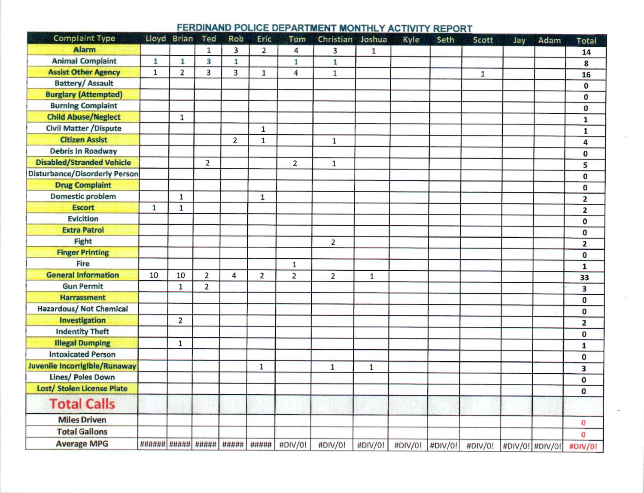### FERDINAND POLICE DEPARTMENT MONTHLY ACTIVITY REPORT

| <b>Complaint Type</b>                |                                | Lloyd Brian Ted |                | Rob            | Eric           | Tom            | Christian Joshua        |              | Kyle    | Seth    | Scott   | Jay             | Adam | Total                   |
|--------------------------------------|--------------------------------|-----------------|----------------|----------------|----------------|----------------|-------------------------|--------------|---------|---------|---------|-----------------|------|-------------------------|
| <b>Alarm</b>                         |                                |                 | $\mathbf{1}$   | 3              | $\overline{2}$ | 4              | 3                       | $\mathbf{1}$ |         |         |         |                 |      | 14                      |
| <b>Animal Complaint</b>              | $\mathbf{1}$                   | $\mathbf{1}$    | 3              | 1              |                | $\mathbf{1}$   | 1                       |              |         |         |         |                 |      | 8                       |
| <b>Assist Other Agency</b>           | $\mathbf 1$                    | $\overline{2}$  | 3              | 3              | $\mathbf 1$    | $\overline{4}$ | $\mathbf 1$             |              |         |         | 1       |                 |      | 16                      |
| <b>Battery/ Assault</b>              |                                |                 |                |                |                |                |                         |              |         |         |         |                 |      | 0                       |
| <b>Burglary (Attempted)</b>          |                                |                 |                |                |                |                |                         |              |         |         |         |                 |      | 0                       |
| <b>Burning Complaint</b>             |                                |                 |                |                |                |                |                         |              |         |         |         |                 |      | 0                       |
| <b>Child Abuse/Neglect</b>           |                                | $\mathbf 1$     |                |                |                |                |                         |              |         |         |         |                 |      | $\mathbf 1$             |
| <b>Civil Matter / Dispute</b>        |                                |                 |                |                | $\mathbf 1$    |                |                         |              |         |         |         |                 |      | 1                       |
| <b>Citizen Assist</b>                |                                |                 |                | $\overline{2}$ | $\mathbf 1$    |                | $\mathbf 1$             |              |         |         |         |                 |      | 4                       |
| <b>Debris In Roadway</b>             |                                |                 |                |                |                |                |                         |              |         |         |         |                 |      | $\pmb{0}$               |
| <b>Disabled/Stranded Vehicle</b>     |                                |                 | $\overline{2}$ |                |                | $\overline{2}$ | $\mathbf 1$             |              |         |         |         |                 |      | 5                       |
| <b>Disturbance/Disorderly Person</b> |                                |                 |                |                |                |                |                         |              |         |         |         |                 |      | 0                       |
| <b>Drug Complaint</b>                |                                |                 |                |                |                |                |                         |              |         |         |         |                 |      | 0                       |
| Domestic problem                     |                                | $\mathbf 1$     |                |                | $\mathbf 1$    |                |                         |              |         |         |         |                 |      | $\overline{2}$          |
| <b>Escort</b>                        | $\mathbf{1}$                   | $\mathbf 1$     |                |                |                |                |                         |              |         |         |         |                 |      | $\mathbf{z}$            |
| <b>Evicition</b>                     |                                |                 |                |                |                |                |                         |              |         |         |         |                 |      | 0                       |
| <b>Extra Patrol</b>                  |                                |                 |                |                |                |                |                         |              |         |         |         |                 |      | $\mathbf 0$             |
| Fight                                |                                |                 |                |                |                |                | $\overline{2}$          |              |         |         |         |                 |      | $\overline{\mathbf{2}}$ |
| <b>Finger Printing</b>               |                                |                 |                |                |                |                |                         |              |         |         |         |                 |      | 0                       |
| Fire                                 |                                |                 |                |                |                | $\mathbf 1$    |                         |              |         |         |         |                 |      | $\mathbf{1}$            |
| <b>General Information</b>           | 10                             | 10              | $\overline{2}$ | 4              | $\overline{2}$ | $\overline{2}$ | $\overline{\mathbf{c}}$ | $\mathbf 1$  |         |         |         |                 |      | 33                      |
| <b>Gun Permit</b>                    |                                | $\mathbf{1}$    | $\overline{2}$ |                |                |                |                         |              |         |         |         |                 |      | 3                       |
| <b>Harrassment</b>                   |                                |                 |                |                |                |                |                         |              |         |         |         |                 |      | 0                       |
| <b>Hazardous/ Not Chemical</b>       |                                |                 |                |                |                |                |                         |              |         |         |         |                 |      | $\mathbf 0$             |
| Investigation                        |                                | $\overline{2}$  |                |                |                |                |                         |              |         |         |         |                 |      | $\overline{\mathbf{2}}$ |
| <b>Indentity Theft</b>               |                                |                 |                |                |                |                |                         |              |         |         |         |                 |      | $\bf{0}$                |
| <b>Illegal Dumping</b>               |                                | $\mathbf 1$     |                |                |                |                |                         |              |         |         |         |                 |      | $\mathbf 1$             |
| <b>Intoxicated Person</b>            |                                |                 |                |                |                |                |                         |              |         |         |         |                 |      | $\overline{\mathbf{0}}$ |
| <b>Juvenile Incorrigible/Runaway</b> |                                |                 |                |                | $\mathbf{1}$   |                | $\mathbf 1$             | $\mathbf 1$  |         |         |         |                 |      | 3                       |
| <b>Lines/ Poles Down</b>             |                                |                 |                |                |                |                |                         |              |         |         |         |                 |      | $\bf{0}$                |
| <b>Lost/ Stolen License Plate</b>    |                                |                 |                |                |                |                |                         |              |         |         |         |                 |      | O                       |
| <b>Total Calls</b>                   |                                |                 |                |                |                |                |                         |              |         |         |         |                 |      |                         |
| <b>Miles Driven</b>                  |                                |                 |                |                |                |                |                         |              |         |         |         |                 |      | 0                       |
| <b>Total Gallons</b>                 |                                |                 |                |                |                |                |                         |              |         |         |         |                 |      | 0                       |
| <b>Average MPG</b>                   | ###### ##### ##### ##### ##### |                 |                |                |                | #DIV/0!        | #DIV/0!                 | #DIV/0!      | #DIV/0! | #DIV/0! | #DIV/0! | #DIV/0! #DIV/0! |      | #DIV/0!                 |